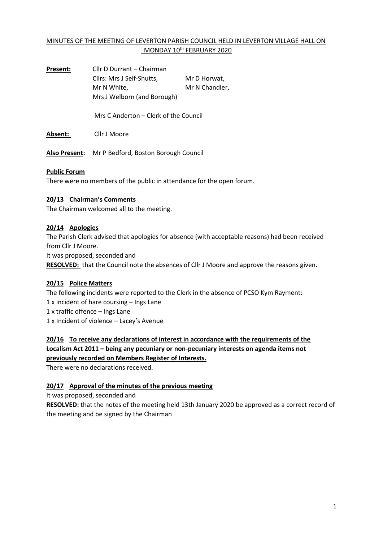## MINUTES OF THE MEETING OF LEVERTON PARISH COUNCIL HELD IN LEVERTON VILLAGE HALL ON MONDAY 10<sup>th</sup> FEBRUARY 2020

| Present:             | Cllr D Durrant - Chairman             |                |  |  |  |
|----------------------|---------------------------------------|----------------|--|--|--|
|                      | Cllrs: Mrs J Self-Shutts,             | Mr D Horwat,   |  |  |  |
|                      | Mr N White,                           | Mr N Chandler, |  |  |  |
|                      | Mrs J Welborn (and Borough)           |                |  |  |  |
|                      |                                       |                |  |  |  |
|                      | Mrs C Anderton – Clerk of the Council |                |  |  |  |
|                      |                                       |                |  |  |  |
| Absent:              | Cllr J Moore                          |                |  |  |  |
|                      |                                       |                |  |  |  |
| <b>Also Present:</b> | Mr P Bedford, Boston Borough Council  |                |  |  |  |
|                      |                                       |                |  |  |  |

#### **Public Forum**

There were no members of the public in attendance for the open forum.

### **20/13 Chairman's Comments**

The Chairman welcomed all to the meeting.

#### **20/14 Apologies**

The Parish Clerk advised that apologies for absence (with acceptable reasons) had been received from Cllr J Moore.

It was proposed, seconded and

**RESOLVED:** that the Council note the absences of Cllr J Moore and approve the reasons given.

### **20/15 Police Matters**

The following incidents were reported to the Clerk in the absence of PCSO Kym Rayment: 1 x incident of hare coursing – Ings Lane 1 x traffic offence – Ings Lane

1 x Incident of violence – Lacey's Avenue

**20/16 To receive any declarations of interest in accordance with the requirements of the Localism Act 2011 – being any pecuniary or non-pecuniary interests on agenda items not previously recorded on Members Register of Interests.**

There were no declarations received.

## **20/17 Approval of the minutes of the previous meeting**

It was proposed, seconded and

**RESOLVED:** that the notes of the meeting held 13th January 2020 be approved as a correct record of the meeting and be signed by the Chairman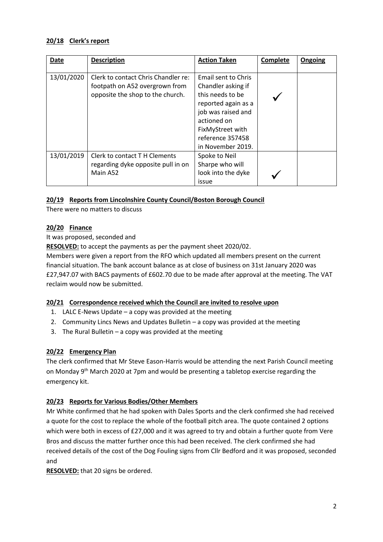### **20/18 Clerk's report**

| <b>Date</b> | <b>Description</b>                                                                                        | <b>Action Taken</b>                                                                                                                                                                    | Complete | Ongoing |
|-------------|-----------------------------------------------------------------------------------------------------------|----------------------------------------------------------------------------------------------------------------------------------------------------------------------------------------|----------|---------|
| 13/01/2020  | Clerk to contact Chris Chandler re:<br>footpath on A52 overgrown from<br>opposite the shop to the church. | Email sent to Chris<br>Chandler asking if<br>this needs to be<br>reported again as a<br>job was raised and<br>actioned on<br>FixMyStreet with<br>reference 357458<br>in November 2019. |          |         |
| 13/01/2019  | Clerk to contact T H Clements<br>regarding dyke opposite pull in on<br>Main A52                           | Spoke to Neil<br>Sharpe who will<br>look into the dyke<br>issue                                                                                                                        |          |         |

### **20/19 Reports from Lincolnshire County Council/Boston Borough Council**

There were no matters to discuss

### **20/20 Finance**

It was proposed, seconded and

**RESOLVED:** to accept the payments as per the payment sheet 2020/02.

Members were given a report from the RFO which updated all members present on the current financial situation. The bank account balance as at close of business on 31st January 2020 was £27,947.07 with BACS payments of £602.70 due to be made after approval at the meeting. The VAT reclaim would now be submitted.

### **20/21 Correspondence received which the Council are invited to resolve upon**

- 1. LALC E-News Update a copy was provided at the meeting
- 2. Community Lincs News and Updates Bulletin a copy was provided at the meeting
- 3. The Rural Bulletin a copy was provided at the meeting

# **20/22 Emergency Plan**

The clerk confirmed that Mr Steve Eason-Harris would be attending the next Parish Council meeting on Monday 9<sup>th</sup> March 2020 at 7pm and would be presenting a tabletop exercise regarding the emergency kit.

# **20/23 Reports for Various Bodies/Other Members**

Mr White confirmed that he had spoken with Dales Sports and the clerk confirmed she had received a quote for the cost to replace the whole of the football pitch area. The quote contained 2 options which were both in excess of £27,000 and it was agreed to try and obtain a further quote from Vere Bros and discuss the matter further once this had been received. The clerk confirmed she had received details of the cost of the Dog Fouling signs from Cllr Bedford and it was proposed, seconded and

**RESOLVED:** that 20 signs be ordered.